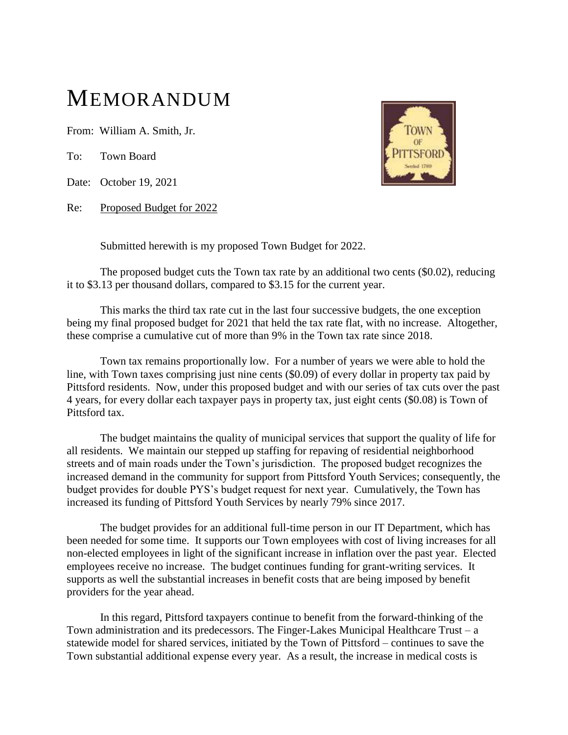## MEMORANDUM

From: William A. Smith, Jr.

To: Town Board

Date: October 19, 2021

Re: Proposed Budget for 2022



Submitted herewith is my proposed Town Budget for 2022.

The proposed budget cuts the Town tax rate by an additional two cents (\$0.02), reducing it to \$3.13 per thousand dollars, compared to \$3.15 for the current year.

This marks the third tax rate cut in the last four successive budgets, the one exception being my final proposed budget for 2021 that held the tax rate flat, with no increase. Altogether, these comprise a cumulative cut of more than 9% in the Town tax rate since 2018.

Town tax remains proportionally low. For a number of years we were able to hold the line, with Town taxes comprising just nine cents (\$0.09) of every dollar in property tax paid by Pittsford residents. Now, under this proposed budget and with our series of tax cuts over the past 4 years, for every dollar each taxpayer pays in property tax, just eight cents (\$0.08) is Town of Pittsford tax.

The budget maintains the quality of municipal services that support the quality of life for all residents. We maintain our stepped up staffing for repaving of residential neighborhood streets and of main roads under the Town's jurisdiction. The proposed budget recognizes the increased demand in the community for support from Pittsford Youth Services; consequently, the budget provides for double PYS's budget request for next year. Cumulatively, the Town has increased its funding of Pittsford Youth Services by nearly 79% since 2017.

The budget provides for an additional full-time person in our IT Department, which has been needed for some time. It supports our Town employees with cost of living increases for all non-elected employees in light of the significant increase in inflation over the past year. Elected employees receive no increase. The budget continues funding for grant-writing services. It supports as well the substantial increases in benefit costs that are being imposed by benefit providers for the year ahead.

In this regard, Pittsford taxpayers continue to benefit from the forward-thinking of the Town administration and its predecessors. The Finger-Lakes Municipal Healthcare Trust –  $a$ statewide model for shared services, initiated by the Town of Pittsford – continues to save the Town substantial additional expense every year. As a result, the increase in medical costs is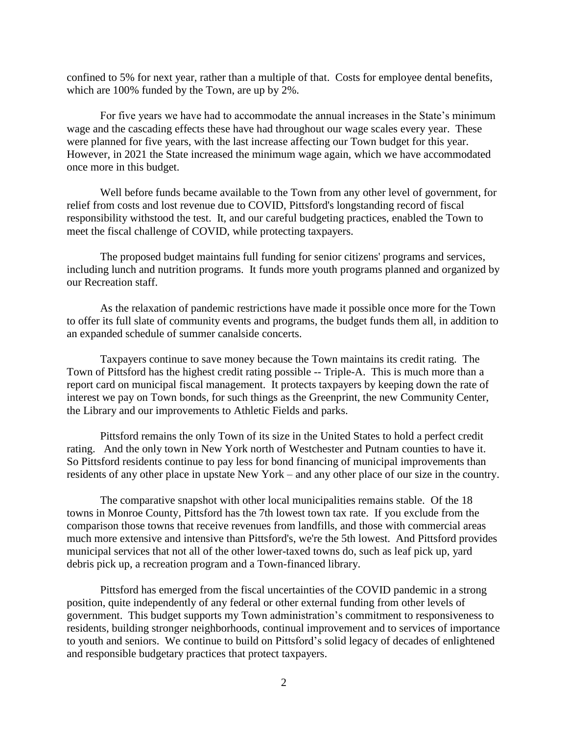confined to 5% for next year, rather than a multiple of that. Costs for employee dental benefits, which are 100% funded by the Town, are up by 2%.

For five years we have had to accommodate the annual increases in the State's minimum wage and the cascading effects these have had throughout our wage scales every year. These were planned for five years, with the last increase affecting our Town budget for this year. However, in 2021 the State increased the minimum wage again, which we have accommodated once more in this budget.

Well before funds became available to the Town from any other level of government, for relief from costs and lost revenue due to COVID, Pittsford's longstanding record of fiscal responsibility withstood the test. It, and our careful budgeting practices, enabled the Town to meet the fiscal challenge of COVID, while protecting taxpayers.

The proposed budget maintains full funding for senior citizens' programs and services, including lunch and nutrition programs. It funds more youth programs planned and organized by our Recreation staff.

As the relaxation of pandemic restrictions have made it possible once more for the Town to offer its full slate of community events and programs, the budget funds them all, in addition to an expanded schedule of summer canalside concerts.

Taxpayers continue to save money because the Town maintains its credit rating. The Town of Pittsford has the highest credit rating possible -- Triple-A. This is much more than a report card on municipal fiscal management. It protects taxpayers by keeping down the rate of interest we pay on Town bonds, for such things as the Greenprint, the new Community Center, the Library and our improvements to Athletic Fields and parks.

Pittsford remains the only Town of its size in the United States to hold a perfect credit rating. And the only town in New York north of Westchester and Putnam counties to have it. So Pittsford residents continue to pay less for bond financing of municipal improvements than residents of any other place in upstate New York – and any other place of our size in the country.

The comparative snapshot with other local municipalities remains stable. Of the 18 towns in Monroe County, Pittsford has the 7th lowest town tax rate. If you exclude from the comparison those towns that receive revenues from landfills, and those with commercial areas much more extensive and intensive than Pittsford's, we're the 5th lowest. And Pittsford provides municipal services that not all of the other lower-taxed towns do, such as leaf pick up, yard debris pick up, a recreation program and a Town-financed library.

Pittsford has emerged from the fiscal uncertainties of the COVID pandemic in a strong position, quite independently of any federal or other external funding from other levels of government. This budget supports my Town administration's commitment to responsiveness to residents, building stronger neighborhoods, continual improvement and to services of importance to youth and seniors. We continue to build on Pittsford's solid legacy of decades of enlightened and responsible budgetary practices that protect taxpayers.